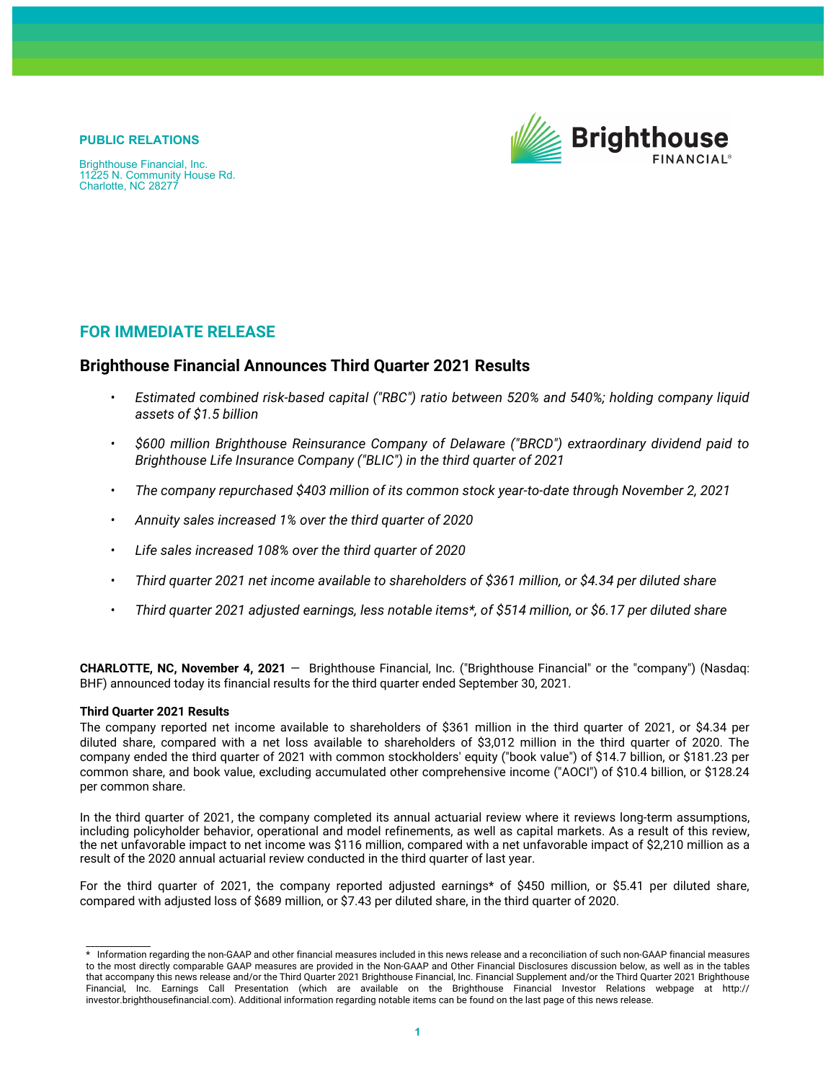

Brighthouse Financial, Inc. 11225 N. Community House Rd. Charlotte, NC 28277

# **FOR IMMEDIATE RELEASE**

# **Brighthouse Financial Announces Third Quarter 2021 Results**

- *• Estimated combined risk-based capital ("RBC") ratio between 520% and 540%; holding company liquid assets of \$1.5 billion*
- *• \$600 million Brighthouse Reinsurance Company of Delaware ("BRCD") extraordinary dividend paid to Brighthouse Life Insurance Company ("BLIC") in the third quarter of 2021*
- *• The company repurchased \$403 million of its common stock year-to-date through November 2, 2021*
- *• Annuity sales increased 1% over the third quarter of 2020*
- *• Life sales increased 108% over the third quarter of 2020*
- *• Third quarter 2021 net income available to shareholders of \$361 million, or \$4.34 per diluted share*
- *• Third quarter 2021 adjusted earnings, less notable items\*, of \$514 million, or \$6.17 per diluted share*

**CHARLOTTE, NC, November 4, 2021** — Brighthouse Financial, Inc. ("Brighthouse Financial" or the "company") (Nasdaq: BHF) announced today its financial results for the third quarter ended September 30, 2021.

### **Third Quarter 2021 Results**

 $\overline{\phantom{a}}$ 

The company reported net income available to shareholders of \$361 million in the third quarter of 2021, or \$4.34 per diluted share, compared with a net loss available to shareholders of \$3,012 million in the third quarter of 2020. The company ended the third quarter of 2021 with common stockholders' equity ("book value") of \$14.7 billion, or \$181.23 per common share, and book value, excluding accumulated other comprehensive income ("AOCI") of \$10.4 billion, or \$128.24 per common share.

In the third quarter of 2021, the company completed its annual actuarial review where it reviews long-term assumptions, including policyholder behavior, operational and model refinements, as well as capital markets. As a result of this review, the net unfavorable impact to net income was \$116 million, compared with a net unfavorable impact of \$2,210 million as a result of the 2020 annual actuarial review conducted in the third quarter of last year.

For the third quarter of 2021, the company reported adjusted earnings\* of \$450 million, or \$5.41 per diluted share, compared with adjusted loss of \$689 million, or \$7.43 per diluted share, in the third quarter of 2020.

<sup>\*</sup> Information regarding the non-GAAP and other financial measures included in this news release and a reconciliation of such non-GAAP financial measures to the most directly comparable GAAP measures are provided in the Non-GAAP and Other Financial Disclosures discussion below, as well as in the tables that accompany this news release and/or the Third Quarter 2021 Brighthouse Financial, Inc. Financial Supplement and/or the Third Quarter 2021 Brighthouse Financial, Inc. Earnings Call Presentation (which are available on the Brighthouse Financial Investor Relations webpage at http:// investor.brighthousefinancial.com). Additional information regarding notable items can be found on the last page of this news release.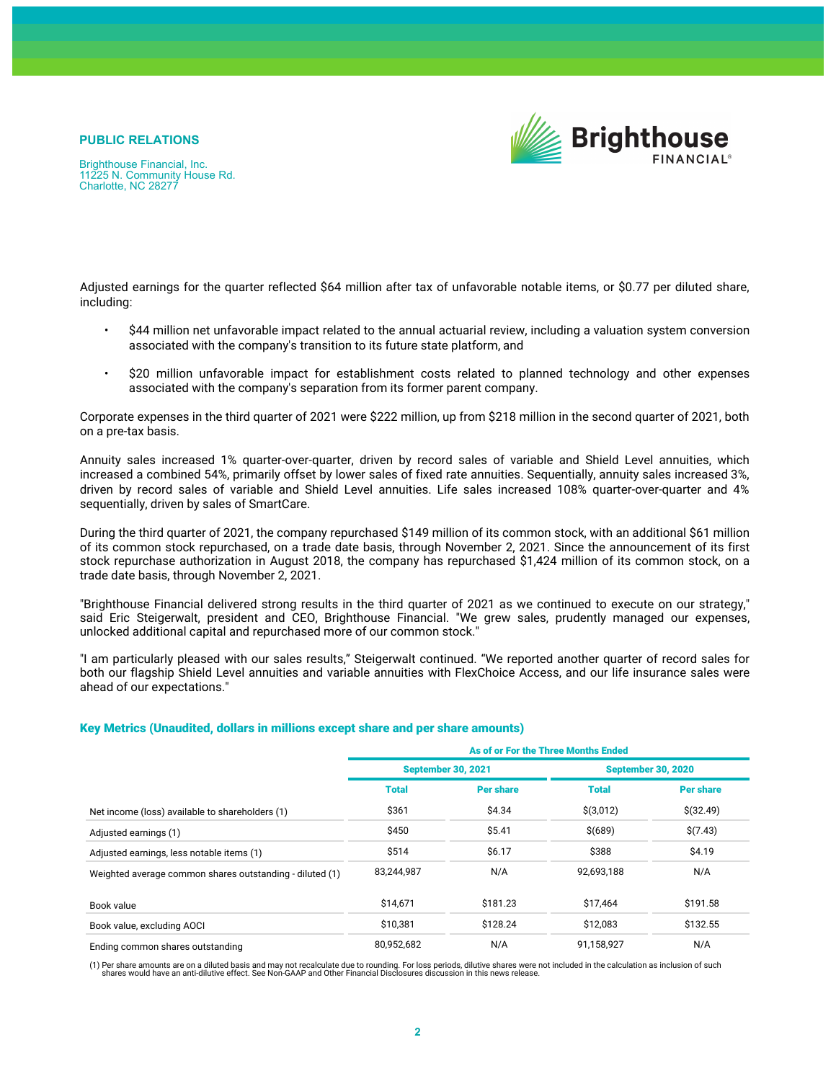

Brighthouse Financial, Inc. 11225 N. Community House Rd. Charlotte, NC 28277

Adjusted earnings for the quarter reflected \$64 million after tax of unfavorable notable items, or \$0.77 per diluted share, including:

- \$44 million net unfavorable impact related to the annual actuarial review, including a valuation system conversion associated with the company's transition to its future state platform, and
- \$20 million unfavorable impact for establishment costs related to planned technology and other expenses associated with the company's separation from its former parent company.

Corporate expenses in the third quarter of 2021 were \$222 million, up from \$218 million in the second quarter of 2021, both on a pre-tax basis.

Annuity sales increased 1% quarter-over-quarter, driven by record sales of variable and Shield Level annuities, which increased a combined 54%, primarily offset by lower sales of fixed rate annuities. Sequentially, annuity sales increased 3%, driven by record sales of variable and Shield Level annuities. Life sales increased 108% quarter-over-quarter and 4% sequentially, driven by sales of SmartCare.

During the third quarter of 2021, the company repurchased \$149 million of its common stock, with an additional \$61 million of its common stock repurchased, on a trade date basis, through November 2, 2021. Since the announcement of its first stock repurchase authorization in August 2018, the company has repurchased \$1,424 million of its common stock, on a trade date basis, through November 2, 2021.

"Brighthouse Financial delivered strong results in the third quarter of 2021 as we continued to execute on our strategy," said Eric Steigerwalt, president and CEO, Brighthouse Financial. "We grew sales, prudently managed our expenses, unlocked additional capital and repurchased more of our common stock."

"I am particularly pleased with our sales results," Steigerwalt continued. "We reported another quarter of record sales for both our flagship Shield Level annuities and variable annuities with FlexChoice Access, and our life insurance sales were ahead of our expectations."

### Key Metrics (Unaudited, dollars in millions except share and per share amounts)

|                                                          | As of or For the Three Months Ended |                  |                           |                  |
|----------------------------------------------------------|-------------------------------------|------------------|---------------------------|------------------|
|                                                          | <b>September 30, 2021</b>           |                  | <b>September 30, 2020</b> |                  |
|                                                          | <b>Total</b>                        | <b>Per share</b> | <b>Total</b>              | <b>Per share</b> |
| Net income (loss) available to shareholders (1)          | \$361                               | \$4.34           | \$(3,012)                 | $$$ (32.49)      |
| Adjusted earnings (1)                                    | \$450                               | \$5.41           | \$(689)                   | \$(7.43)         |
| Adjusted earnings, less notable items (1)                | \$514                               | \$6.17           | \$388                     | \$4.19           |
| Weighted average common shares outstanding - diluted (1) | 83,244,987                          | N/A              | 92,693,188                | N/A              |
| Book value                                               | \$14,671                            | \$181.23         | \$17,464                  | \$191.58         |
| Book value, excluding AOCI                               | \$10,381                            | \$128.24         | \$12,083                  | \$132.55         |
| Ending common shares outstanding                         | 80,952,682                          | N/A              | 91,158,927                | N/A              |

(1) Per share amounts are on a diluted basis and may not recalculate due to rounding. For loss periods, dilutive shares were not included in the calculation as inclusion of such<br>shares would have an anti-dilutive effect. S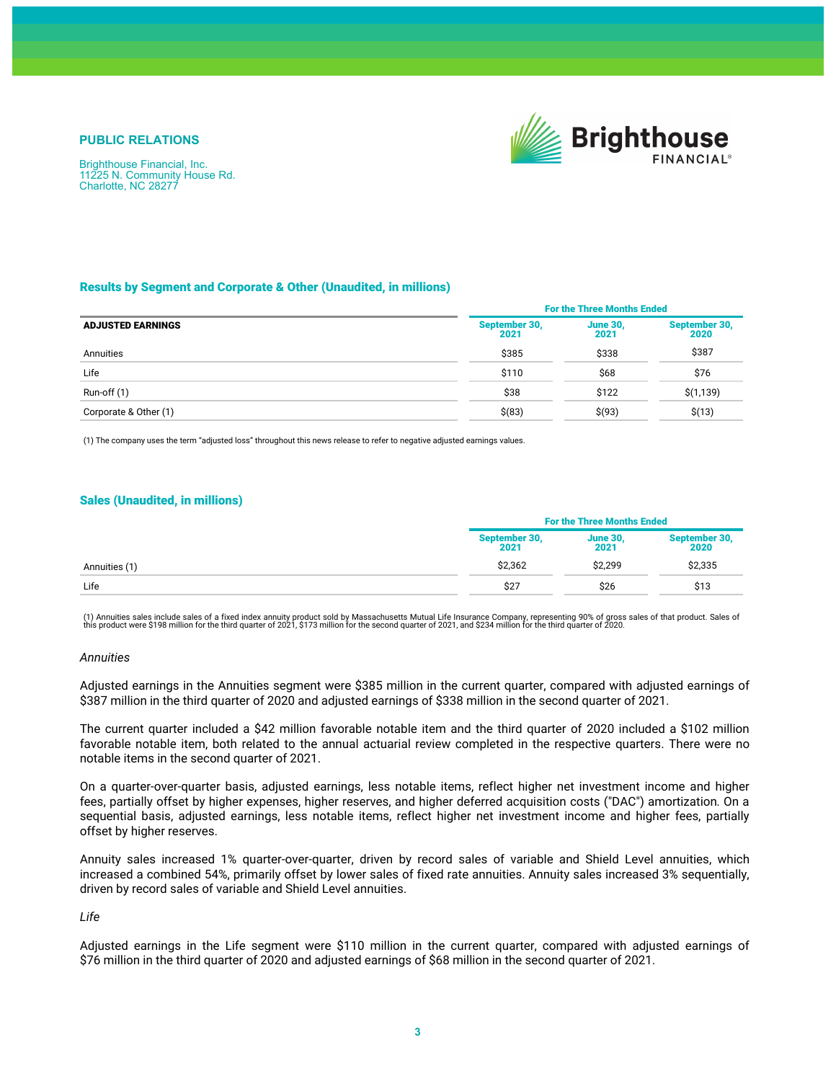

Brighthouse Financial, Inc. 11225 N. Community House Rd. Charlotte, NC 28277

#### Results by Segment and Corporate & Other (Unaudited, in millions)

|                          | <b>For the Three Months Ended</b> |                         |                       |
|--------------------------|-----------------------------------|-------------------------|-----------------------|
| <b>ADJUSTED EARNINGS</b> | September 30,<br>2021             | <b>June 30,</b><br>2021 | September 30,<br>2020 |
| Annuities                | \$385                             | \$338                   | \$387                 |
| Life                     | \$110                             | \$68                    | \$76                  |
| Run-off $(1)$            | \$38                              | \$122                   | \$(1,139)             |
| Corporate & Other (1)    | $$^{(83)}$                        | \$(93)                  | \$(13)                |

(1) The company uses the term "adjusted loss" throughout this news release to refer to negative adjusted earnings values.

#### Sales (Unaudited, in millions)

| <b>For the Three Months Ended</b> |                         |                       |
|-----------------------------------|-------------------------|-----------------------|
| September 30,<br>2021             | <b>June 30,</b><br>2021 | September 30,<br>2020 |
| \$2,362                           | \$2,299                 | \$2,335               |
| \$27                              | \$26                    | \$13                  |
|                                   |                         |                       |

(1) Annuities sales include sales of a fixed index annuity product sold by Massachusetts Mutual Life Insurance Company, representing 90% of gross sales of that product. Sales of<br>this product were \$198 million for the third

#### *Annuities*

Adjusted earnings in the Annuities segment were \$385 million in the current quarter, compared with adjusted earnings of \$387 million in the third quarter of 2020 and adjusted earnings of \$338 million in the second quarter of 2021.

The current quarter included a \$42 million favorable notable item and the third quarter of 2020 included a \$102 million favorable notable item, both related to the annual actuarial review completed in the respective quarters. There were no notable items in the second quarter of 2021.

On a quarter-over-quarter basis, adjusted earnings, less notable items, reflect higher net investment income and higher fees, partially offset by higher expenses, higher reserves, and higher deferred acquisition costs ("DAC") amortization. On a sequential basis, adjusted earnings, less notable items, reflect higher net investment income and higher fees, partially offset by higher reserves.

Annuity sales increased 1% quarter-over-quarter, driven by record sales of variable and Shield Level annuities, which increased a combined 54%, primarily offset by lower sales of fixed rate annuities. Annuity sales increased 3% sequentially, driven by record sales of variable and Shield Level annuities.

### *Life*

Adjusted earnings in the Life segment were \$110 million in the current quarter, compared with adjusted earnings of \$76 million in the third quarter of 2020 and adjusted earnings of \$68 million in the second quarter of 2021.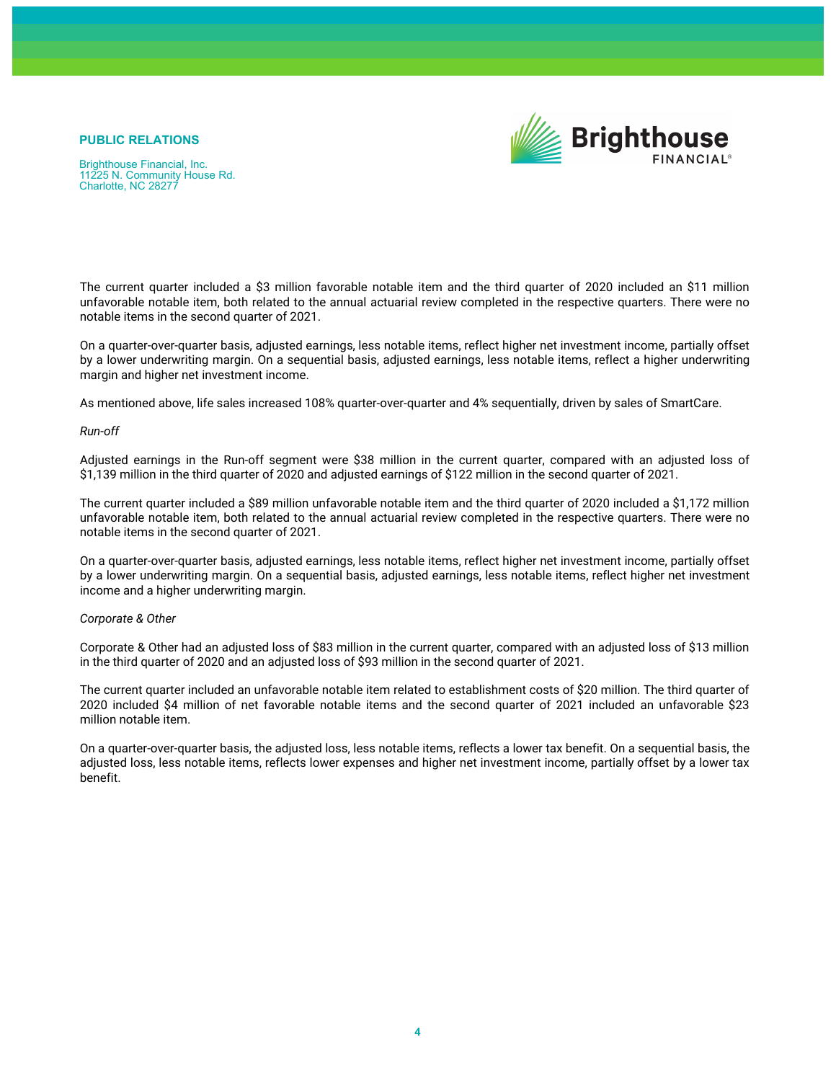

Brighthouse Financial, Inc. 11225 N. Community House Rd. Charlotte, NC 28277

The current quarter included a \$3 million favorable notable item and the third quarter of 2020 included an \$11 million unfavorable notable item, both related to the annual actuarial review completed in the respective quarters. There were no notable items in the second quarter of 2021.

On a quarter-over-quarter basis, adjusted earnings, less notable items, reflect higher net investment income, partially offset by a lower underwriting margin. On a sequential basis, adjusted earnings, less notable items, reflect a higher underwriting margin and higher net investment income.

As mentioned above, life sales increased 108% quarter-over-quarter and 4% sequentially, driven by sales of SmartCare.

#### *Run-off*

Adjusted earnings in the Run-off segment were \$38 million in the current quarter, compared with an adjusted loss of \$1,139 million in the third quarter of 2020 and adjusted earnings of \$122 million in the second quarter of 2021.

The current quarter included a \$89 million unfavorable notable item and the third quarter of 2020 included a \$1,172 million unfavorable notable item, both related to the annual actuarial review completed in the respective quarters. There were no notable items in the second quarter of 2021.

On a quarter-over-quarter basis, adjusted earnings, less notable items, reflect higher net investment income, partially offset by a lower underwriting margin. On a sequential basis, adjusted earnings, less notable items, reflect higher net investment income and a higher underwriting margin.

#### *Corporate & Other*

Corporate & Other had an adjusted loss of \$83 million in the current quarter, compared with an adjusted loss of \$13 million in the third quarter of 2020 and an adjusted loss of \$93 million in the second quarter of 2021.

The current quarter included an unfavorable notable item related to establishment costs of \$20 million. The third quarter of 2020 included \$4 million of net favorable notable items and the second quarter of 2021 included an unfavorable \$23 million notable item.

On a quarter-over-quarter basis, the adjusted loss, less notable items, reflects a lower tax benefit. On a sequential basis, the adjusted loss, less notable items, reflects lower expenses and higher net investment income, partially offset by a lower tax benefit.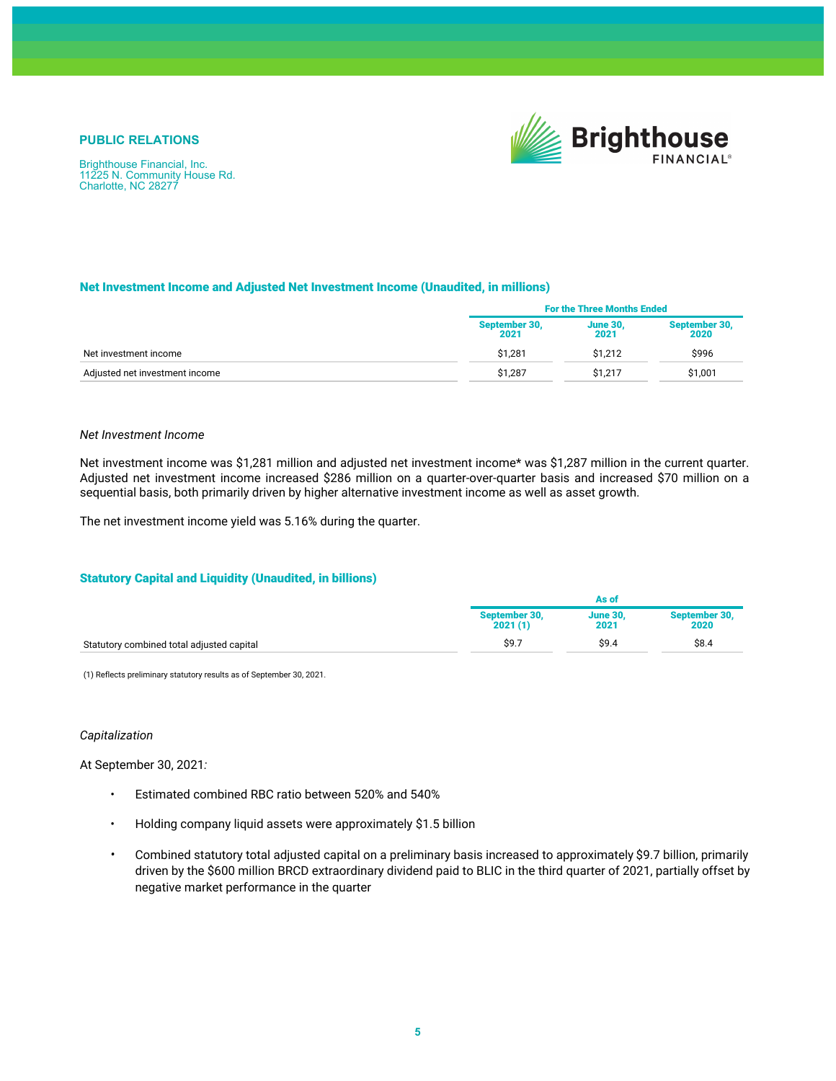

Brighthouse Financial, Inc. 11225 N. Community House Rd. Charlotte, NC 28277

#### Net Investment Income and Adjusted Net Investment Income (Unaudited, in millions)

|                                | <b>For the Three Months Ended</b> |                         |                       |
|--------------------------------|-----------------------------------|-------------------------|-----------------------|
|                                | September 30,<br>2021             | <b>June 30,</b><br>2021 | September 30,<br>2020 |
| Net investment income          | \$1,281                           | \$1.212                 | \$996                 |
| Adjusted net investment income | \$1,287                           | \$1.217                 | \$1,001               |

#### *Net Investment Income*

Net investment income was \$1,281 million and adjusted net investment income\* was \$1,287 million in the current quarter. Adjusted net investment income increased \$286 million on a quarter-over-quarter basis and increased \$70 million on a sequential basis, both primarily driven by higher alternative investment income as well as asset growth.

The net investment income yield was 5.16% during the quarter.

### Statutory Capital and Liquidity (Unaudited, in billions)

|                                           | As of                    |                         |                       |
|-------------------------------------------|--------------------------|-------------------------|-----------------------|
|                                           | September 30,<br>2021(1) | <b>June 30.</b><br>2021 | September 30,<br>2020 |
| Statutory combined total adjusted capital | \$9.7                    | \$9.4                   | \$8.4                 |

(1) Reflects preliminary statutory results as of September 30, 2021.

### *Capitalization*

At September 30, 2021*:*

- Estimated combined RBC ratio between 520% and 540%
- Holding company liquid assets were approximately \$1.5 billion
- *•* Combined statutory total adjusted capital on a preliminary basis increased to approximately \$9.7 billion, primarily driven by the \$600 million BRCD extraordinary dividend paid to BLIC in the third quarter of 2021, partially offset by negative market performance in the quarter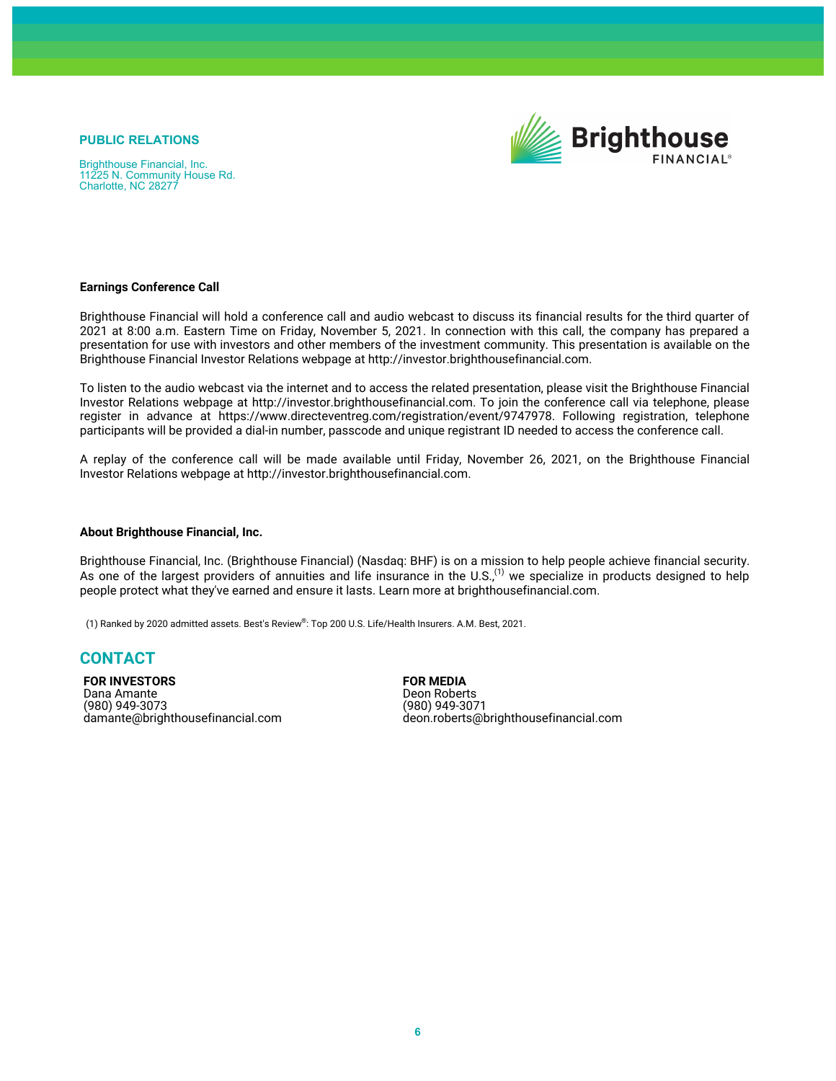

Brighthouse Financial, Inc. 11225 N. Community House Rd. Charlotte, NC 28277

#### **Earnings Conference Call**

Brighthouse Financial will hold a conference call and audio webcast to discuss its financial results for the third quarter of 2021 at 8:00 a.m. Eastern Time on Friday, November 5, 2021. In connection with this call, the company has prepared a presentation for use with investors and other members of the investment community. This presentation is available on the Brighthouse Financial Investor Relations webpage at http://investor.brighthousefinancial.com.

To listen to the audio webcast via the internet and to access the related presentation, please visit the Brighthouse Financial Investor Relations webpage at http://investor.brighthousefinancial.com. To join the conference call via telephone, please register in advance at https://www.directeventreg.com/registration/event/9747978. Following registration, telephone participants will be provided a dial-in number, passcode and unique registrant ID needed to access the conference call.

A replay of the conference call will be made available until Friday, November 26, 2021, on the Brighthouse Financial Investor Relations webpage at http://investor.brighthousefinancial.com.

#### **About Brighthouse Financial, Inc.**

Brighthouse Financial, Inc. (Brighthouse Financial) (Nasdaq: BHF) is on a mission to help people achieve financial security. As one of the largest providers of annuities and life insurance in the U.S.,<sup>(1)</sup> we specialize in products designed to help people protect what they've earned and ensure it lasts. Learn more at brighthousefinancial.com.

(1) Ranked by 2020 admitted assets. Best's Review® : Top 200 U.S. Life/Health Insurers. A.M. Best, 2021.

## **CONTACT**

**FOR INVESTORS** Dana Amante (980) 949-3073 damante@brighthousefinancial.com

**FOR MEDIA** Deon Roberts (980) 949-3071 deon.roberts@brighthousefinancial.com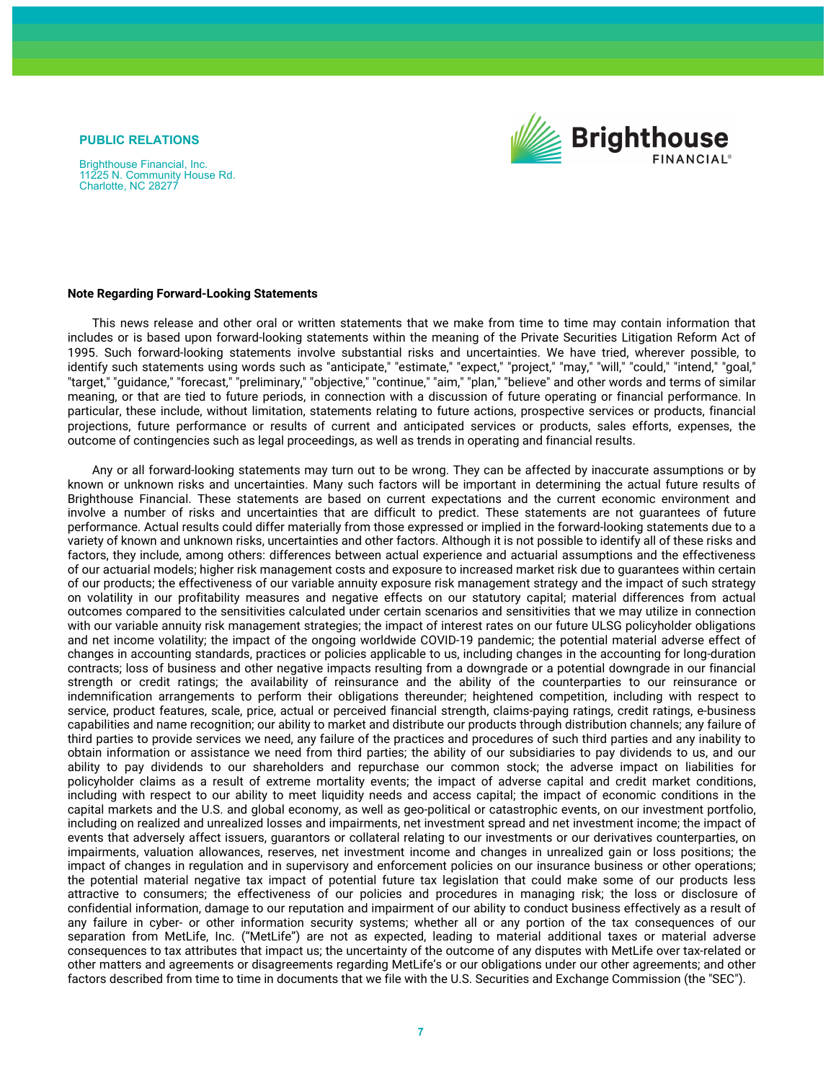

Brighthouse Financial, Inc. 11225 N. Community House Rd. Charlotte, NC 28277

#### **Note Regarding Forward-Looking Statements**

This news release and other oral or written statements that we make from time to time may contain information that includes or is based upon forward-looking statements within the meaning of the Private Securities Litigation Reform Act of 1995. Such forward-looking statements involve substantial risks and uncertainties. We have tried, wherever possible, to identify such statements using words such as "anticipate," "estimate," "expect," "project," "may," "will," "could," "intend," "goal," "target," "guidance," "forecast," "preliminary," "objective," "continue," "aim," "plan," "believe" and other words and terms of similar meaning, or that are tied to future periods, in connection with a discussion of future operating or financial performance. In particular, these include, without limitation, statements relating to future actions, prospective services or products, financial projections, future performance or results of current and anticipated services or products, sales efforts, expenses, the outcome of contingencies such as legal proceedings, as well as trends in operating and financial results.

Any or all forward-looking statements may turn out to be wrong. They can be affected by inaccurate assumptions or by known or unknown risks and uncertainties. Many such factors will be important in determining the actual future results of Brighthouse Financial. These statements are based on current expectations and the current economic environment and involve a number of risks and uncertainties that are difficult to predict. These statements are not guarantees of future performance. Actual results could differ materially from those expressed or implied in the forward-looking statements due to a variety of known and unknown risks, uncertainties and other factors. Although it is not possible to identify all of these risks and factors, they include, among others: differences between actual experience and actuarial assumptions and the effectiveness of our actuarial models; higher risk management costs and exposure to increased market risk due to guarantees within certain of our products; the effectiveness of our variable annuity exposure risk management strategy and the impact of such strategy on volatility in our profitability measures and negative effects on our statutory capital; material differences from actual outcomes compared to the sensitivities calculated under certain scenarios and sensitivities that we may utilize in connection with our variable annuity risk management strategies; the impact of interest rates on our future ULSG policyholder obligations and net income volatility; the impact of the ongoing worldwide COVID-19 pandemic; the potential material adverse effect of changes in accounting standards, practices or policies applicable to us, including changes in the accounting for long-duration contracts; loss of business and other negative impacts resulting from a downgrade or a potential downgrade in our financial strength or credit ratings; the availability of reinsurance and the ability of the counterparties to our reinsurance or indemnification arrangements to perform their obligations thereunder; heightened competition, including with respect to service, product features, scale, price, actual or perceived financial strength, claims-paying ratings, credit ratings, e-business capabilities and name recognition; our ability to market and distribute our products through distribution channels; any failure of third parties to provide services we need, any failure of the practices and procedures of such third parties and any inability to obtain information or assistance we need from third parties; the ability of our subsidiaries to pay dividends to us, and our ability to pay dividends to our shareholders and repurchase our common stock; the adverse impact on liabilities for policyholder claims as a result of extreme mortality events; the impact of adverse capital and credit market conditions, including with respect to our ability to meet liquidity needs and access capital; the impact of economic conditions in the capital markets and the U.S. and global economy, as well as geo-political or catastrophic events, on our investment portfolio, including on realized and unrealized losses and impairments, net investment spread and net investment income; the impact of events that adversely affect issuers, guarantors or collateral relating to our investments or our derivatives counterparties, on impairments, valuation allowances, reserves, net investment income and changes in unrealized gain or loss positions; the impact of changes in regulation and in supervisory and enforcement policies on our insurance business or other operations; the potential material negative tax impact of potential future tax legislation that could make some of our products less attractive to consumers; the effectiveness of our policies and procedures in managing risk; the loss or disclosure of confidential information, damage to our reputation and impairment of our ability to conduct business effectively as a result of any failure in cyber- or other information security systems; whether all or any portion of the tax consequences of our separation from MetLife, Inc. ("MetLife") are not as expected, leading to material additional taxes or material adverse consequences to tax attributes that impact us; the uncertainty of the outcome of any disputes with MetLife over tax-related or other matters and agreements or disagreements regarding MetLife's or our obligations under our other agreements; and other factors described from time to time in documents that we file with the U.S. Securities and Exchange Commission (the "SEC").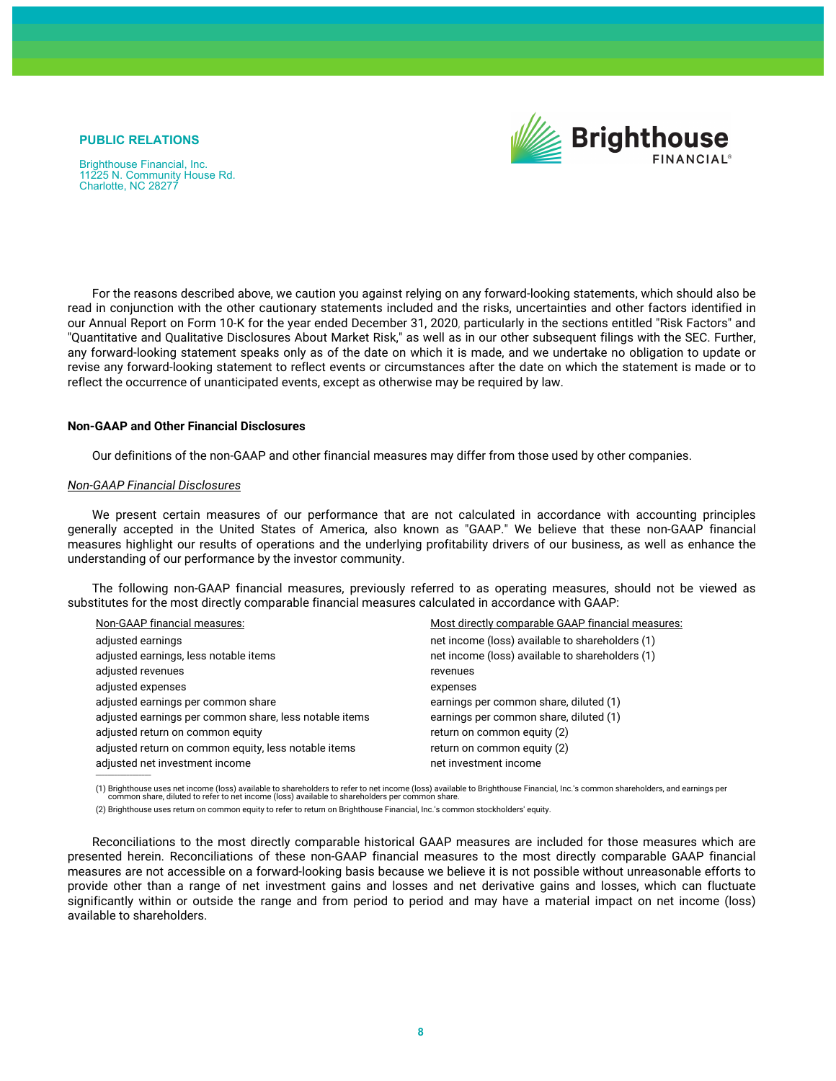

Brighthouse Financial, Inc. 11225 N. Community House Rd. Charlotte, NC 28277

For the reasons described above, we caution you against relying on any forward-looking statements, which should also be read in conjunction with the other cautionary statements included and the risks, uncertainties and other factors identified in our Annual Report on Form 10-K for the year ended December 31, 2020, particularly in the sections entitled "Risk Factors" and "Quantitative and Qualitative Disclosures About Market Risk," as well as in our other subsequent filings with the SEC. Further, any forward-looking statement speaks only as of the date on which it is made, and we undertake no obligation to update or revise any forward-looking statement to reflect events or circumstances after the date on which the statement is made or to reflect the occurrence of unanticipated events, except as otherwise may be required by law.

### **Non-GAAP and Other Financial Disclosures**

Our definitions of the non-GAAP and other financial measures may differ from those used by other companies.

#### *Non-GAAP Financial Disclosures*

We present certain measures of our performance that are not calculated in accordance with accounting principles generally accepted in the United States of America, also known as "GAAP." We believe that these non-GAAP financial measures highlight our results of operations and the underlying profitability drivers of our business, as well as enhance the understanding of our performance by the investor community.

The following non-GAAP financial measures, previously referred to as operating measures, should not be viewed as substitutes for the most directly comparable financial measures calculated in accordance with GAAP:

| Non-GAAP financial measures:                           | Most directly comparable GAAP financial measures: |
|--------------------------------------------------------|---------------------------------------------------|
| adjusted earnings                                      | net income (loss) available to shareholders (1)   |
| adjusted earnings, less notable items                  | net income (loss) available to shareholders (1)   |
| adjusted revenues                                      | revenues                                          |
| adjusted expenses                                      | expenses                                          |
| adjusted earnings per common share                     | earnings per common share, diluted (1)            |
| adjusted earnings per common share, less notable items | earnings per common share, diluted (1)            |
| adjusted return on common equity                       | return on common equity (2)                       |
| adjusted return on common equity, less notable items   | return on common equity (2)                       |
| adjusted net investment income                         | net investment income                             |
|                                                        |                                                   |

(1) Brighthouse uses net income (loss) available to shareholders to refer to net income (loss) available to Brighthouse Financial, Inc.'s common shareholders, and earnings per<br>common share, diluted to refer to net income (

(2) Brighthouse uses return on common equity to refer to return on Brighthouse Financial, Inc.'s common stockholders' equity.

Reconciliations to the most directly comparable historical GAAP measures are included for those measures which are presented herein. Reconciliations of these non-GAAP financial measures to the most directly comparable GAAP financial measures are not accessible on a forward-looking basis because we believe it is not possible without unreasonable efforts to provide other than a range of net investment gains and losses and net derivative gains and losses, which can fluctuate significantly within or outside the range and from period to period and may have a material impact on net income (loss) available to shareholders.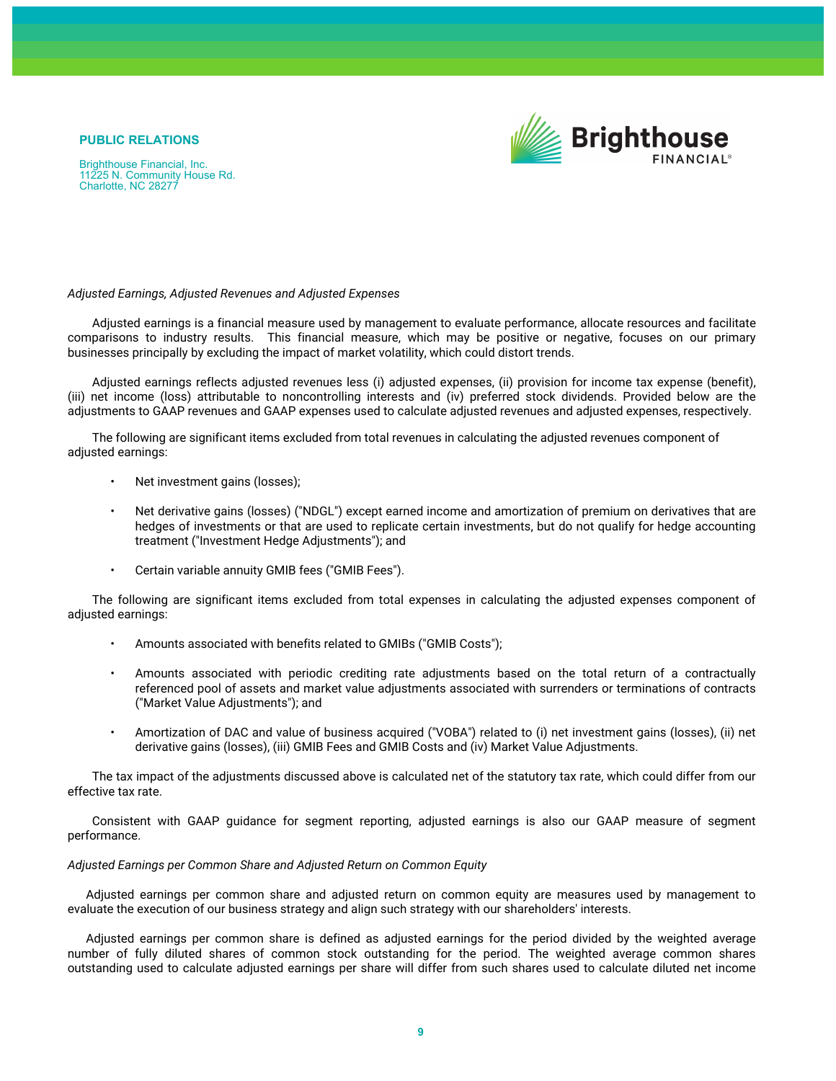

Brighthouse Financial, Inc. 11225 N. Community House Rd. Charlotte, NC 28277

### *Adjusted Earnings, Adjusted Revenues and Adjusted Expenses*

Adjusted earnings is a financial measure used by management to evaluate performance, allocate resources and facilitate comparisons to industry results. This financial measure, which may be positive or negative, focuses on our primary businesses principally by excluding the impact of market volatility, which could distort trends.

Adjusted earnings reflects adjusted revenues less (i) adjusted expenses, (ii) provision for income tax expense (benefit), (iii) net income (loss) attributable to noncontrolling interests and (iv) preferred stock dividends. Provided below are the adjustments to GAAP revenues and GAAP expenses used to calculate adjusted revenues and adjusted expenses, respectively.

The following are significant items excluded from total revenues in calculating the adjusted revenues component of adjusted earnings:

- Net investment gains (losses);
- Net derivative gains (losses) ("NDGL") except earned income and amortization of premium on derivatives that are hedges of investments or that are used to replicate certain investments, but do not qualify for hedge accounting treatment ("Investment Hedge Adjustments"); and
- Certain variable annuity GMIB fees ("GMIB Fees").

The following are significant items excluded from total expenses in calculating the adjusted expenses component of adjusted earnings:

- Amounts associated with benefits related to GMIBs ("GMIB Costs");
- Amounts associated with periodic crediting rate adjustments based on the total return of a contractually referenced pool of assets and market value adjustments associated with surrenders or terminations of contracts ("Market Value Adjustments"); and
- Amortization of DAC and value of business acquired ("VOBA") related to (i) net investment gains (losses), (ii) net derivative gains (losses), (iii) GMIB Fees and GMIB Costs and (iv) Market Value Adjustments.

The tax impact of the adjustments discussed above is calculated net of the statutory tax rate, which could differ from our effective tax rate.

Consistent with GAAP guidance for segment reporting, adjusted earnings is also our GAAP measure of segment performance.

### *Adjusted Earnings per Common Share and Adjusted Return on Common Equity*

Adjusted earnings per common share and adjusted return on common equity are measures used by management to evaluate the execution of our business strategy and align such strategy with our shareholders' interests.

Adjusted earnings per common share is defined as adjusted earnings for the period divided by the weighted average number of fully diluted shares of common stock outstanding for the period. The weighted average common shares outstanding used to calculate adjusted earnings per share will differ from such shares used to calculate diluted net income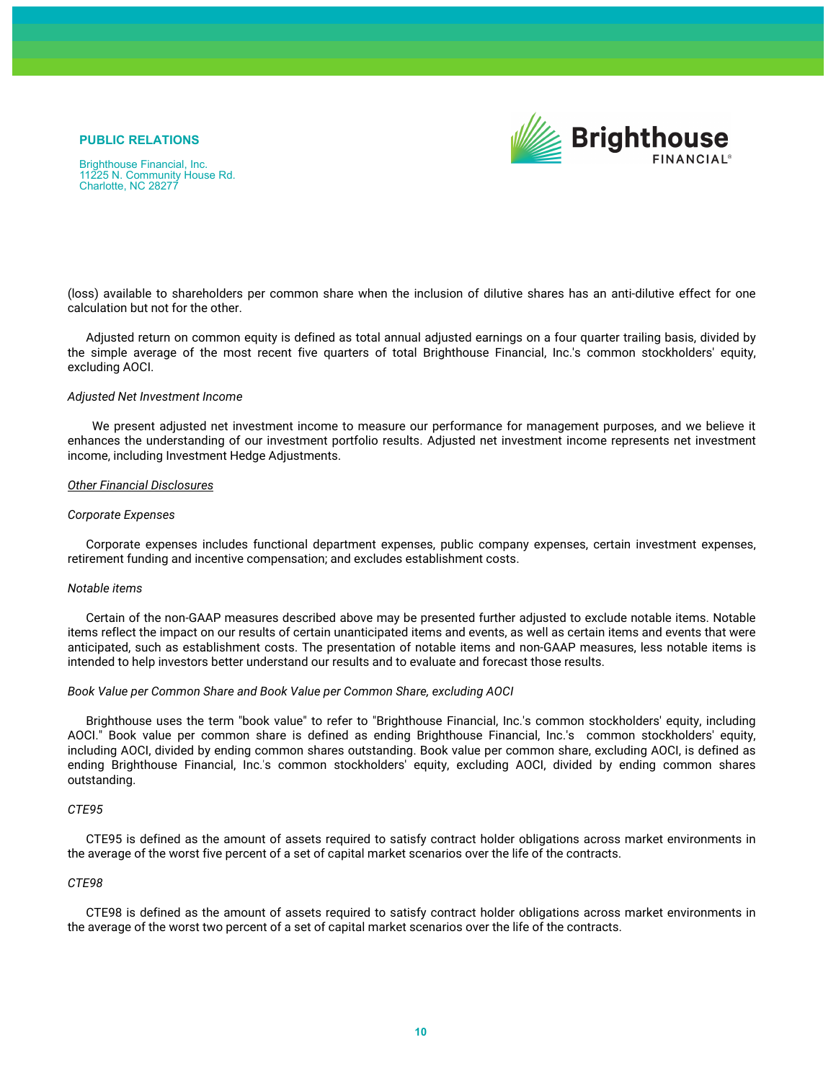

Brighthouse Financial, Inc. 11225 N. Community House Rd. Charlotte, NC 28277

(loss) available to shareholders per common share when the inclusion of dilutive shares has an anti-dilutive effect for one calculation but not for the other.

Adjusted return on common equity is defined as total annual adjusted earnings on a four quarter trailing basis, divided by the simple average of the most recent five quarters of total Brighthouse Financial, Inc.'s common stockholders' equity, excluding AOCI.

#### *Adjusted Net Investment Income*

We present adjusted net investment income to measure our performance for management purposes, and we believe it enhances the understanding of our investment portfolio results. Adjusted net investment income represents net investment income, including Investment Hedge Adjustments.

#### *Other Financial Disclosures*

#### *Corporate Expenses*

Corporate expenses includes functional department expenses, public company expenses, certain investment expenses, retirement funding and incentive compensation; and excludes establishment costs.

#### *Notable items*

Certain of the non-GAAP measures described above may be presented further adjusted to exclude notable items. Notable items reflect the impact on our results of certain unanticipated items and events, as well as certain items and events that were anticipated, such as establishment costs. The presentation of notable items and non-GAAP measures, less notable items is intended to help investors better understand our results and to evaluate and forecast those results.

#### *Book Value per Common Share and Book Value per Common Share, excluding AOCI*

Brighthouse uses the term "book value" to refer to "Brighthouse Financial, Inc.'s common stockholders' equity, including AOCI." Book value per common share is defined as ending Brighthouse Financial, Inc.'s common stockholders' equity, including AOCI, divided by ending common shares outstanding. Book value per common share, excluding AOCI, is defined as ending Brighthouse Financial, Inc.'s common stockholders' equity, excluding AOCI, divided by ending common shares outstanding.

### *CTE95*

CTE95 is defined as the amount of assets required to satisfy contract holder obligations across market environments in the average of the worst five percent of a set of capital market scenarios over the life of the contracts.

### *CTE98*

CTE98 is defined as the amount of assets required to satisfy contract holder obligations across market environments in the average of the worst two percent of a set of capital market scenarios over the life of the contracts.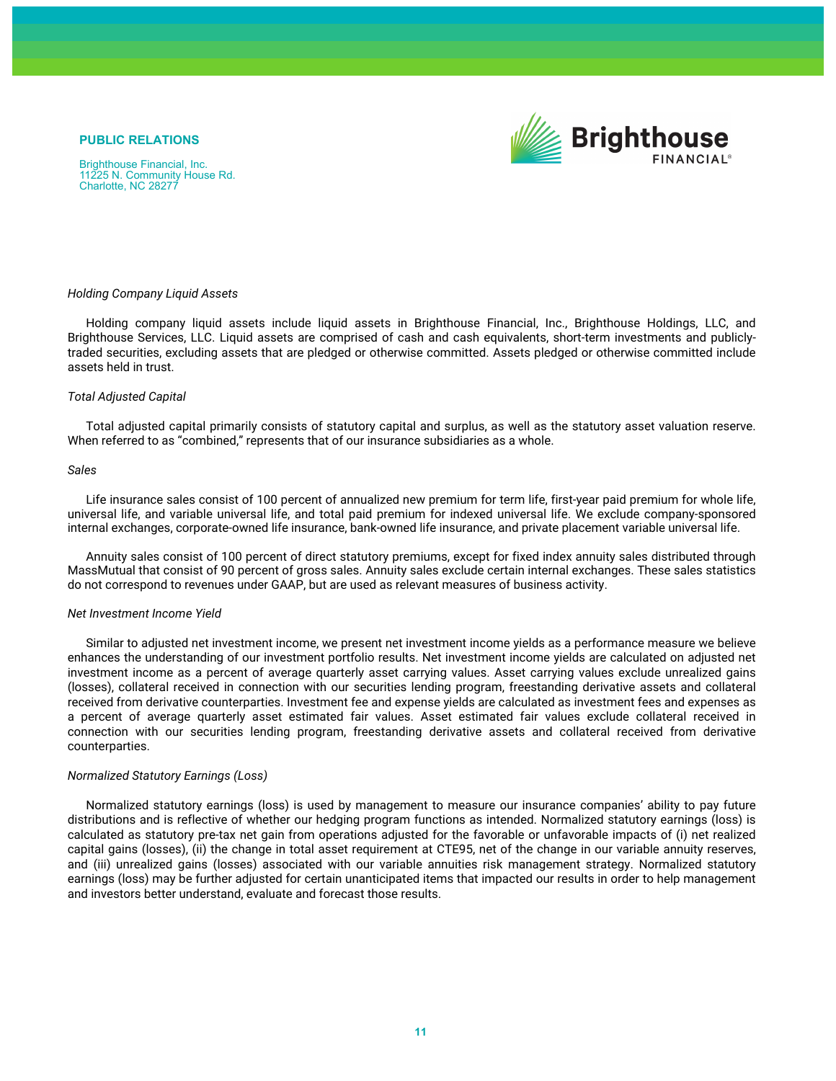

Brighthouse Financial, Inc. 11225 N. Community House Rd. Charlotte, NC 28277

### *Holding Company Liquid Assets*

Holding company liquid assets include liquid assets in Brighthouse Financial, Inc., Brighthouse Holdings, LLC, and Brighthouse Services, LLC. Liquid assets are comprised of cash and cash equivalents, short-term investments and publiclytraded securities, excluding assets that are pledged or otherwise committed. Assets pledged or otherwise committed include assets held in trust.

### *Total Adjusted Capital*

Total adjusted capital primarily consists of statutory capital and surplus, as well as the statutory asset valuation reserve. When referred to as "combined," represents that of our insurance subsidiaries as a whole.

#### *Sales*

Life insurance sales consist of 100 percent of annualized new premium for term life, first-year paid premium for whole life, universal life, and variable universal life, and total paid premium for indexed universal life. We exclude company-sponsored internal exchanges, corporate-owned life insurance, bank-owned life insurance, and private placement variable universal life.

Annuity sales consist of 100 percent of direct statutory premiums, except for fixed index annuity sales distributed through MassMutual that consist of 90 percent of gross sales. Annuity sales exclude certain internal exchanges. These sales statistics do not correspond to revenues under GAAP, but are used as relevant measures of business activity.

#### *Net Investment Income Yield*

Similar to adjusted net investment income, we present net investment income yields as a performance measure we believe enhances the understanding of our investment portfolio results. Net investment income yields are calculated on adjusted net investment income as a percent of average quarterly asset carrying values. Asset carrying values exclude unrealized gains (losses), collateral received in connection with our securities lending program, freestanding derivative assets and collateral received from derivative counterparties. Investment fee and expense yields are calculated as investment fees and expenses as a percent of average quarterly asset estimated fair values. Asset estimated fair values exclude collateral received in connection with our securities lending program, freestanding derivative assets and collateral received from derivative counterparties.

#### *Normalized Statutory Earnings (Loss)*

Normalized statutory earnings (loss) is used by management to measure our insurance companies' ability to pay future distributions and is reflective of whether our hedging program functions as intended. Normalized statutory earnings (loss) is calculated as statutory pre-tax net gain from operations adjusted for the favorable or unfavorable impacts of (i) net realized capital gains (losses), (ii) the change in total asset requirement at CTE95, net of the change in our variable annuity reserves, and (iii) unrealized gains (losses) associated with our variable annuities risk management strategy. Normalized statutory earnings (loss) may be further adjusted for certain unanticipated items that impacted our results in order to help management and investors better understand, evaluate and forecast those results.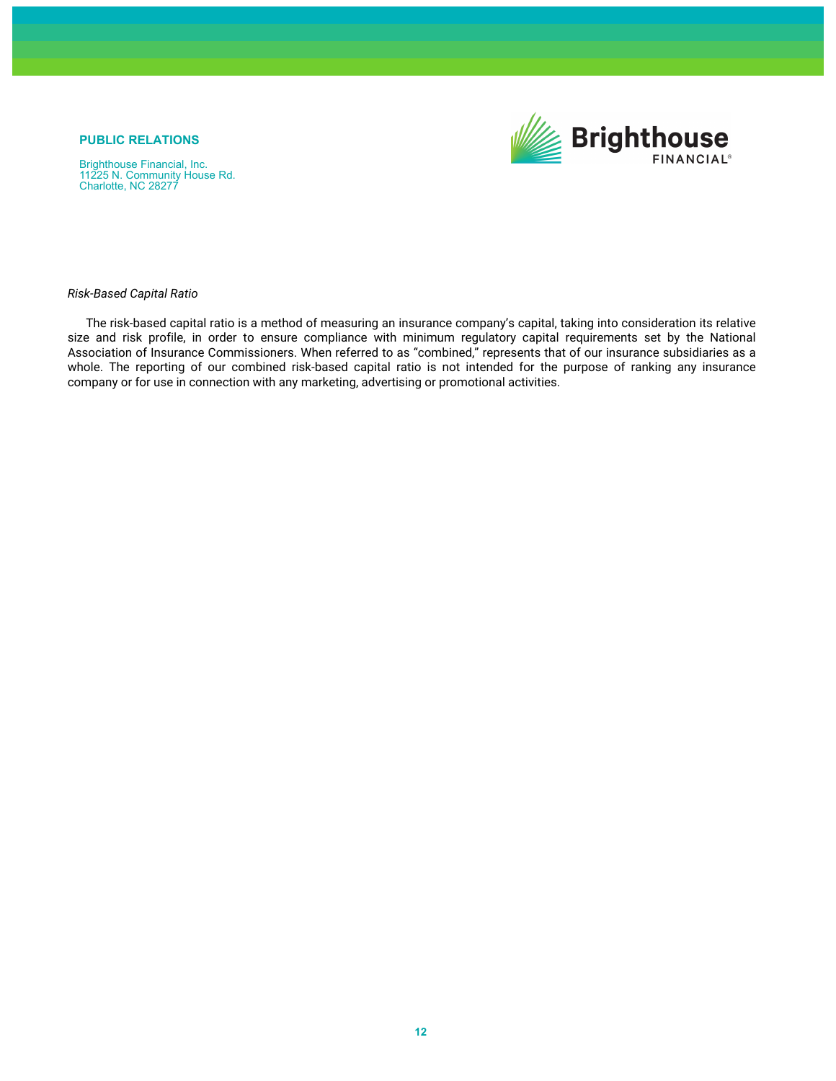

Brighthouse Financial, Inc. 11225 N. Community House Rd. Charlotte, NC 28277

### *Risk-Based Capital Ratio*

The risk-based capital ratio is a method of measuring an insurance company's capital, taking into consideration its relative size and risk profile, in order to ensure compliance with minimum regulatory capital requirements set by the National Association of Insurance Commissioners. When referred to as "combined," represents that of our insurance subsidiaries as a whole. The reporting of our combined risk-based capital ratio is not intended for the purpose of ranking any insurance company or for use in connection with any marketing, advertising or promotional activities.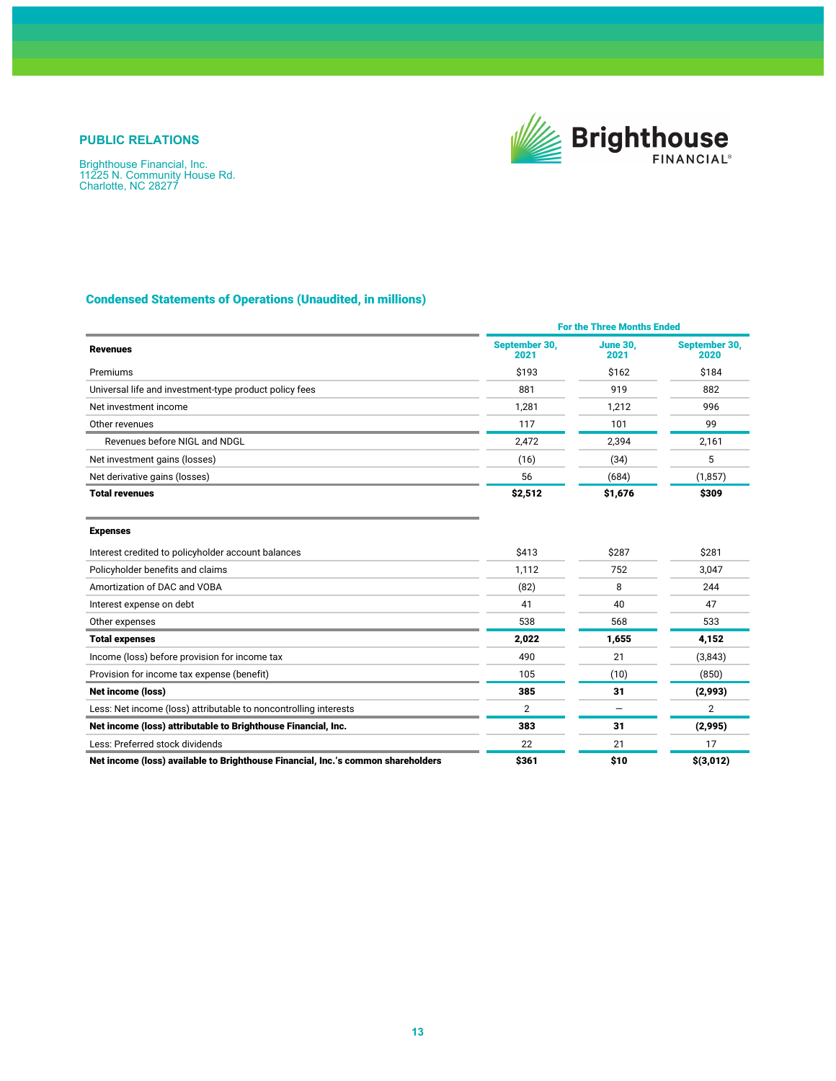

Brighthouse Financial, Inc. 11225 N. Community House Rd. Charlotte, NC 28277

### Condensed Statements of Operations (Unaudited, in millions)

|                                                                                  | <b>For the Three Months Ended</b> |                         |                       |  |
|----------------------------------------------------------------------------------|-----------------------------------|-------------------------|-----------------------|--|
| <b>Revenues</b>                                                                  | September 30,<br>2021             | <b>June 30,</b><br>2021 | September 30,<br>2020 |  |
| Premiums                                                                         | \$193                             | \$162                   | \$184                 |  |
| Universal life and investment-type product policy fees                           | 881                               | 919                     | 882                   |  |
| Net investment income                                                            | 1.281                             | 1.212                   | 996                   |  |
| Other revenues                                                                   | 117                               | 101                     | 99                    |  |
| Revenues before NIGL and NDGL                                                    | 2,472                             | 2,394                   | 2,161                 |  |
| Net investment gains (losses)                                                    | (16)                              | (34)                    | 5                     |  |
| Net derivative gains (losses)                                                    | 56                                | (684)                   | (1, 857)              |  |
| <b>Total revenues</b>                                                            | \$2,512                           | \$1,676                 | \$309                 |  |
| <b>Expenses</b>                                                                  |                                   |                         |                       |  |
| Interest credited to policyholder account balances                               | \$413                             | \$287                   | \$281                 |  |
| Policyholder benefits and claims                                                 | 1.112                             | 752                     | 3.047                 |  |
| Amortization of DAC and VOBA                                                     | (82)                              | 8                       | 244                   |  |
| Interest expense on debt                                                         | 41                                | 40                      | 47                    |  |
| Other expenses                                                                   | 538                               | 568                     | 533                   |  |
| <b>Total expenses</b>                                                            | 2,022                             | 1,655                   | 4,152                 |  |
| Income (loss) before provision for income tax                                    | 490                               | 21                      | (3,843)               |  |
| Provision for income tax expense (benefit)                                       | 105                               | (10)                    | (850)                 |  |
| <b>Net income (loss)</b>                                                         | 385                               | 31                      | (2,993)               |  |
| Less: Net income (loss) attributable to noncontrolling interests                 | $\overline{2}$                    | —                       | $\overline{2}$        |  |
| Net income (loss) attributable to Brighthouse Financial, Inc.                    | 383                               | 31                      | (2,995)               |  |
| Less: Preferred stock dividends                                                  | 22                                | 21                      | 17                    |  |
| Net income (loss) available to Brighthouse Financial, Inc.'s common shareholders | \$361                             | \$10                    | \$(3,012)             |  |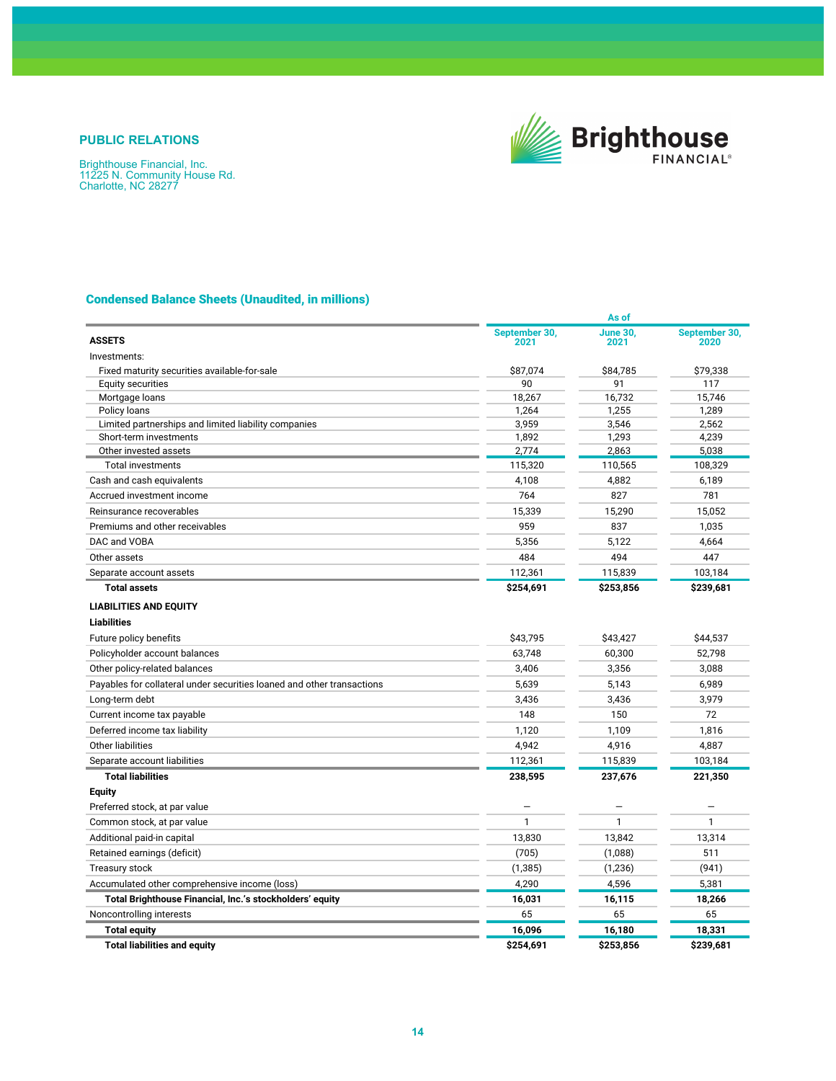

Brighthouse Financial, Inc. 11225 N. Community House Rd. Charlotte, NC 28277

## Condensed Balance Sheets (Unaudited, in millions)

|                                                                        |                       | As of                   |                       |
|------------------------------------------------------------------------|-----------------------|-------------------------|-----------------------|
| <b>ASSETS</b>                                                          | September 30,<br>2021 | <b>June 30.</b><br>2021 | September 30,<br>2020 |
| Investments:                                                           |                       |                         |                       |
| Fixed maturity securities available-for-sale                           | \$87,074              | \$84,785                | \$79.338              |
| <b>Equity securities</b>                                               | 90                    | 91                      | 117                   |
| Mortgage loans                                                         | 18,267                | 16,732                  | 15,746                |
| Policy loans                                                           | 1,264                 | 1,255                   | 1,289                 |
| Limited partnerships and limited liability companies                   | 3,959                 | 3,546                   | 2,562                 |
| Short-term investments                                                 | 1,892                 | 1,293                   | 4,239                 |
| Other invested assets                                                  | 2,774                 | 2,863                   | 5,038                 |
| <b>Total investments</b>                                               | 115,320               | 110,565                 | 108,329               |
| Cash and cash equivalents                                              | 4,108                 | 4,882                   | 6,189                 |
| Accrued investment income                                              | 764                   | 827                     | 781                   |
| Reinsurance recoverables                                               | 15,339                | 15,290                  | 15,052                |
| Premiums and other receivables                                         | 959                   | 837                     | 1,035                 |
| DAC and VOBA                                                           | 5,356                 | 5,122                   | 4,664                 |
| Other assets                                                           | 484                   | 494                     | 447                   |
| Separate account assets                                                | 112,361               | 115,839                 | 103,184               |
| <b>Total assets</b>                                                    | \$254,691             | \$253,856               | \$239,681             |
| <b>LIABILITIES AND EQUITY</b>                                          |                       |                         |                       |
| <b>Liabilities</b>                                                     |                       |                         |                       |
| Future policy benefits                                                 | \$43,795              | \$43,427                | \$44,537              |
| Policyholder account balances                                          | 63,748                | 60,300                  | 52,798                |
| Other policy-related balances                                          | 3,406                 | 3,356                   | 3,088                 |
| Payables for collateral under securities loaned and other transactions | 5,639                 | 5,143                   | 6,989                 |
| Long-term debt                                                         | 3,436                 | 3,436                   | 3,979                 |
| Current income tax payable                                             | 148                   | 150                     | 72                    |
| Deferred income tax liability                                          | 1,120                 | 1,109                   | 1,816                 |
| Other liabilities                                                      | 4,942                 | 4,916                   | 4,887                 |
| Separate account liabilities                                           | 112,361               | 115,839                 | 103,184               |
| <b>Total liabilities</b>                                               | 238,595               | 237,676                 | 221,350               |
| <b>Equity</b>                                                          |                       |                         |                       |
| Preferred stock, at par value                                          |                       |                         |                       |
| Common stock, at par value                                             | $\mathbf{1}$          | 1                       | $\mathbf{1}$          |
| Additional paid-in capital                                             | 13,830                | 13,842                  | 13,314                |
| Retained earnings (deficit)                                            | (705)                 | (1,088)                 | 511                   |
| <b>Treasury stock</b>                                                  | (1, 385)              | (1,236)                 | (941)                 |
| Accumulated other comprehensive income (loss)                          | 4,290                 | 4,596                   | 5,381                 |
| Total Brighthouse Financial, Inc.'s stockholders' equity               | 16,031                | 16,115                  | 18,266                |
| Noncontrolling interests                                               | 65                    | 65                      | 65                    |
| <b>Total equity</b>                                                    | 16,096                | 16,180                  | 18,331                |
| <b>Total liabilities and equity</b>                                    | \$254,691             | \$253,856               | \$239,681             |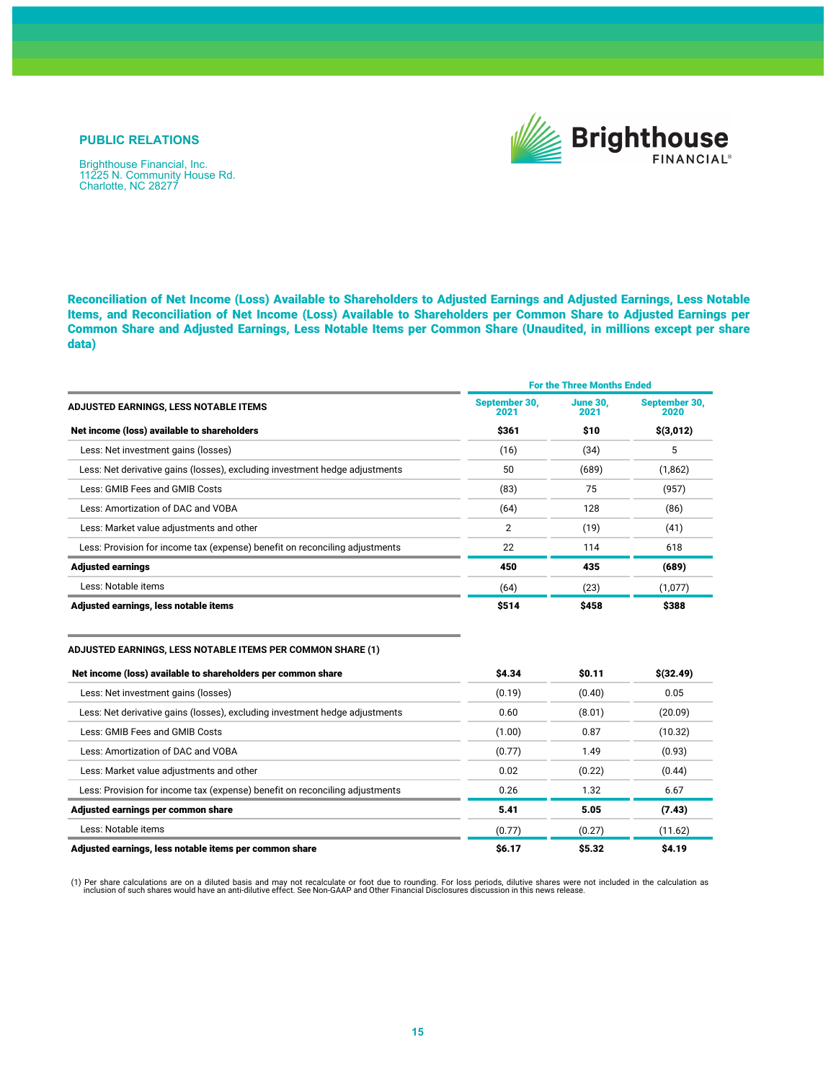

Brighthouse Financial, Inc. 11225 N. Community House Rd. Charlotte, NC 28277

Reconciliation of Net Income (Loss) Available to Shareholders to Adjusted Earnings and Adjusted Earnings, Less Notable Items, and Reconciliation of Net Income (Loss) Available to Shareholders per Common Share to Adjusted Earnings per Common Share and Adjusted Earnings, Less Notable Items per Common Share (Unaudited, in millions except per share data)

|                                                                             | <b>For the Three Months Ended</b> |                         |                       |
|-----------------------------------------------------------------------------|-----------------------------------|-------------------------|-----------------------|
| ADJUSTED EARNINGS, LESS NOTABLE ITEMS                                       | September 30,<br>2021             | <b>June 30.</b><br>2021 | September 30,<br>2020 |
| Net income (loss) available to shareholders                                 | \$361                             | \$10                    | \$(3,012)             |
| Less: Net investment gains (losses)                                         | (16)                              | (34)                    | 5                     |
| Less: Net derivative gains (losses), excluding investment hedge adjustments | 50                                | (689)                   | (1,862)               |
| Less: GMIB Fees and GMIB Costs                                              | (83)                              | 75                      | (957)                 |
| Less: Amortization of DAC and VOBA                                          | (64)                              | 128                     | (86)                  |
| Less: Market value adjustments and other                                    | 2                                 | (19)                    | (41)                  |
| Less: Provision for income tax (expense) benefit on reconciling adjustments | 22                                | 114                     | 618                   |
| <b>Adjusted earnings</b>                                                    | 450                               | 435                     | (689)                 |
| Less: Notable items                                                         | (64)                              | (23)                    | (1,077)               |
| Adjusted earnings, less notable items                                       | \$514                             | \$458                   | \$388                 |
| ADJUSTED EARNINGS, LESS NOTABLE ITEMS PER COMMON SHARE (1)                  |                                   |                         |                       |
| Net income (loss) available to shareholders per common share                | \$4.34                            | \$0.11                  | \$ (32.49)            |
| Less: Net investment gains (losses)                                         | (0.19)                            | (0.40)                  | 0.05                  |
| Less: Net derivative gains (losses), excluding investment hedge adjustments | 0.60                              | (8.01)                  | (20.09)               |
| Less: GMIB Fees and GMIB Costs                                              | (1.00)                            | 0.87                    | (10.32)               |
| Less: Amortization of DAC and VOBA                                          | (0.77)                            | 1.49                    | (0.93)                |
| Less: Market value adjustments and other                                    | 0.02                              | (0.22)                  | (0.44)                |
| Less: Provision for income tax (expense) benefit on reconciling adjustments | 0.26                              | 1.32                    | 6.67                  |
| Adjusted earnings per common share                                          | 5.41                              | 5.05                    | (7.43)                |
| Less: Notable items                                                         | (0.77)                            | (0.27)                  | (11.62)               |
| Adjusted earnings, less notable items per common share                      | \$6.17                            | \$5.32                  | \$4.19                |

(1) Per share calculations are on a diluted basis and may not recalculate or foot due to rounding. For loss periods, dilutive shares were not included in the calculation as<br>inclusion of such shares would have an anti-dilut